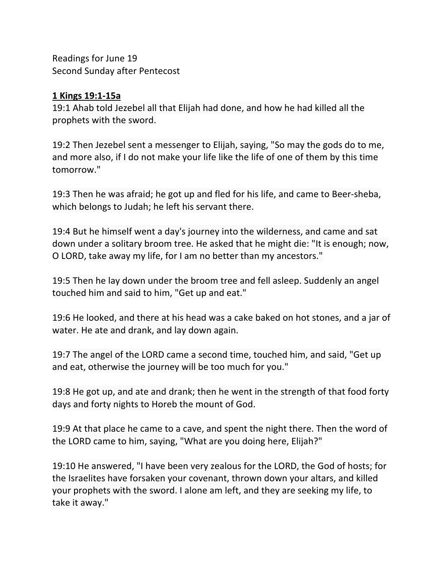Readings for June 19 Second Sunday after Pentecost

## **1 Kings 19:1-15a**

19:1 Ahab told Jezebel all that Elijah had done, and how he had killed all the prophets with the sword.

19:2 Then Jezebel sent a messenger to Elijah, saying, "So may the gods do to me, and more also, if I do not make your life like the life of one of them by this time tomorrow."

19:3 Then he was afraid; he got up and fled for his life, and came to Beer-sheba, which belongs to Judah; he left his servant there.

19:4 But he himself went a day's journey into the wilderness, and came and sat down under a solitary broom tree. He asked that he might die: "It is enough; now, O LORD, take away my life, for I am no better than my ancestors."

19:5 Then he lay down under the broom tree and fell asleep. Suddenly an angel touched him and said to him, "Get up and eat."

19:6 He looked, and there at his head was a cake baked on hot stones, and a jar of water. He ate and drank, and lay down again.

19:7 The angel of the LORD came a second time, touched him, and said, "Get up and eat, otherwise the journey will be too much for you."

19:8 He got up, and ate and drank; then he went in the strength of that food forty days and forty nights to Horeb the mount of God.

19:9 At that place he came to a cave, and spent the night there. Then the word of the LORD came to him, saying, "What are you doing here, Elijah?"

19:10 He answered, "I have been very zealous for the LORD, the God of hosts; for the Israelites have forsaken your covenant, thrown down your altars, and killed your prophets with the sword. I alone am left, and they are seeking my life, to take it away."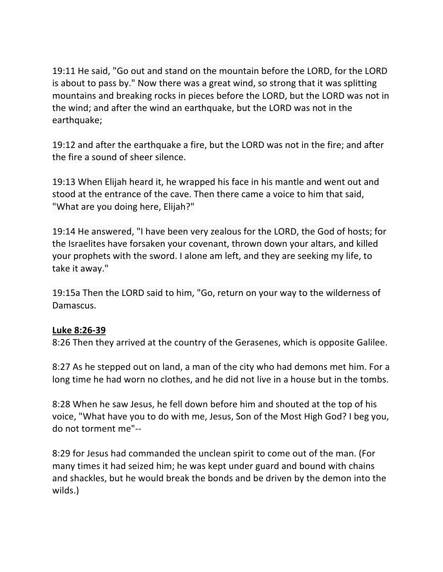19:11 He said, "Go out and stand on the mountain before the LORD, for the LORD is about to pass by." Now there was a great wind, so strong that it was splitting mountains and breaking rocks in pieces before the LORD, but the LORD was not in the wind; and after the wind an earthquake, but the LORD was not in the earthquake;

19:12 and after the earthquake a fire, but the LORD was not in the fire; and after the fire a sound of sheer silence.

19:13 When Elijah heard it, he wrapped his face in his mantle and went out and stood at the entrance of the cave. Then there came a voice to him that said, "What are you doing here, Elijah?"

19:14 He answered, "I have been very zealous for the LORD, the God of hosts; for the Israelites have forsaken your covenant, thrown down your altars, and killed your prophets with the sword. I alone am left, and they are seeking my life, to take it away."

19:15a Then the LORD said to him, "Go, return on your way to the wilderness of Damascus.

## **Luke 8:26-39**

8:26 Then they arrived at the country of the Gerasenes, which is opposite Galilee.

8:27 As he stepped out on land, a man of the city who had demons met him. For a long time he had worn no clothes, and he did not live in a house but in the tombs.

8:28 When he saw Jesus, he fell down before him and shouted at the top of his voice, "What have you to do with me, Jesus, Son of the Most High God? I beg you, do not torment me"--

8:29 for Jesus had commanded the unclean spirit to come out of the man. (For many times it had seized him; he was kept under guard and bound with chains and shackles, but he would break the bonds and be driven by the demon into the wilds.)